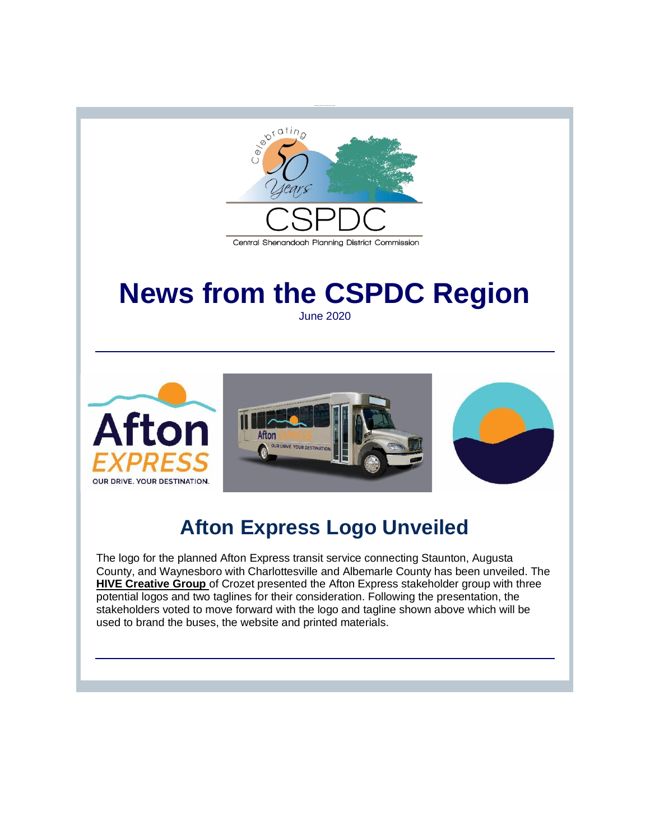

# **News from the CSPDC Region**

June 2020



## **Afton Express Logo Unveiled**

The logo for the planned Afton Express transit service connecting Staunton, Augusta County, and Waynesboro with Charlottesville and Albemarle County has been unveiled. The **[HIVE Creative Group](http://r20.rs6.net/tn.jsp?f=001lDyAWde-VzfLDypmVLPgMjEBf4ymSTGjmyvTEGeyg9Fd1z8D1oMhTVoW_HdkF-NVGkKtTxMvE5MI5-5mGgUlsOYKX_vhf84euvKeOCrij5aUZbRr-kp43WQXeWGXAK1WMPEsytC664IGDOXvNECMBw==&c=DEHpGaCpEOTkHN4pSPFLsPHFhj6ZUJ3VXj7BV3butOksM2UEVAas4g==&ch=8Po7xAUImBnLMhLRWKnebdz_zSzAM6GYsvDtcvx8Cbj2JiEjqOea7g==)** of Crozet presented the Afton Express stakeholder group with three potential logos and two taglines for their consideration. Following the presentation, the stakeholders voted to move forward with the logo and tagline shown above which will be used to brand the buses, the website and printed materials.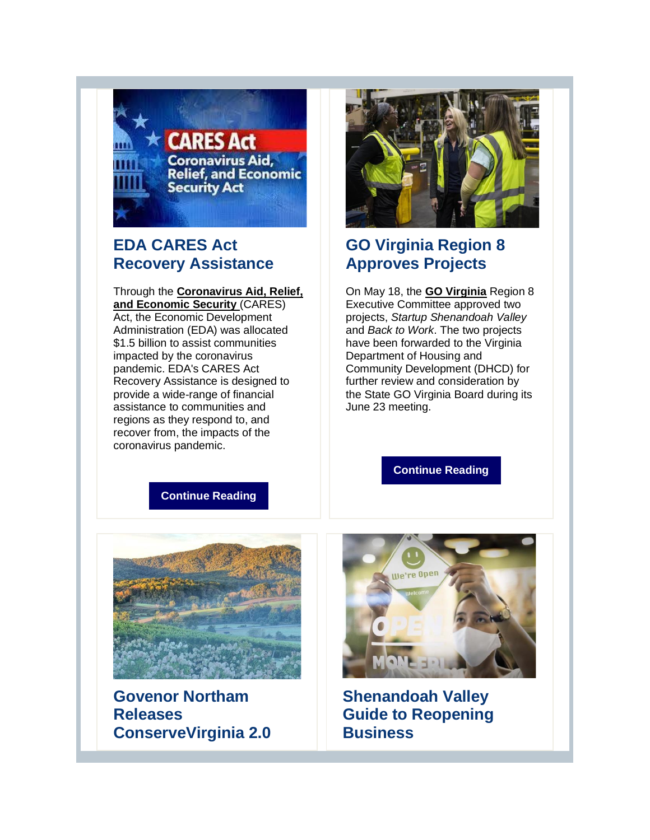

## **EDA CARES Act Recovery Assistance**

Through the **[Coronavirus Aid, Relief,](http://r20.rs6.net/tn.jsp?f=001lDyAWde-VzfLDypmVLPgMjEBf4ymSTGjmyvTEGeyg9Fd1z8D1oMhTVoW_HdkF-NVbvt6WlhJYgM1QNl3qXgn_H1ao_81KJ3v6GDtFAlPQV3wLBnH0cf_6XwLvKEz48vK2g7WCKx0ImK27vKhKyvKLifyWCPHicamMuU9FTakXo-13p09jZF1OQ==&c=DEHpGaCpEOTkHN4pSPFLsPHFhj6ZUJ3VXj7BV3butOksM2UEVAas4g==&ch=8Po7xAUImBnLMhLRWKnebdz_zSzAM6GYsvDtcvx8Cbj2JiEjqOea7g==)  [and Economic Security](http://r20.rs6.net/tn.jsp?f=001lDyAWde-VzfLDypmVLPgMjEBf4ymSTGjmyvTEGeyg9Fd1z8D1oMhTVoW_HdkF-NVbvt6WlhJYgM1QNl3qXgn_H1ao_81KJ3v6GDtFAlPQV3wLBnH0cf_6XwLvKEz48vK2g7WCKx0ImK27vKhKyvKLifyWCPHicamMuU9FTakXo-13p09jZF1OQ==&c=DEHpGaCpEOTkHN4pSPFLsPHFhj6ZUJ3VXj7BV3butOksM2UEVAas4g==&ch=8Po7xAUImBnLMhLRWKnebdz_zSzAM6GYsvDtcvx8Cbj2JiEjqOea7g==)** (CARES) Act, the Economic Development Administration (EDA) was allocated \$1.5 billion to assist communities impacted by the coronavirus pandemic. EDA's CARES Act Recovery Assistance is designed to provide a wide-range of financial assistance to communities and regions as they respond to, and recover from, the impacts of the coronavirus pandemic.



## **GO Virginia Region 8 Approves Projects**

On May 18, the **[GO Virginia](http://r20.rs6.net/tn.jsp?f=001lDyAWde-VzfLDypmVLPgMjEBf4ymSTGjmyvTEGeyg9Fd1z8D1oMhTdEvuhG20jiRWovs6AM6JO15noU9KIc0hw1VHgYp1owIldTnNLdAYO5WOJjsShiwk3IuQl8w_bSfWcx__vuvUDunXcsEOy0ILg==&c=DEHpGaCpEOTkHN4pSPFLsPHFhj6ZUJ3VXj7BV3butOksM2UEVAas4g==&ch=8Po7xAUImBnLMhLRWKnebdz_zSzAM6GYsvDtcvx8Cbj2JiEjqOea7g==)** Region 8 Executive Committee approved two projects, *Startup Shenandoah Valley*  and *Back to Work*. The two projects have been forwarded to the Virginia Department of Housing and Community Development (DHCD) for further review and consideration by the State GO Virginia Board during its June 23 meeting.

**[Continue Reading](http://r20.rs6.net/tn.jsp?f=001lDyAWde-VzfLDypmVLPgMjEBf4ymSTGjmyvTEGeyg9Fd1z8D1oMhTVoW_HdkF-NVIDB1vfNrJ6hFqvFAFuUVrDAuoSowORJVGR45q347DVBHQRKmB7NKi0-nPeinTJqdhHkbsYPZX1ZLLXXYAJYu7PpLUgHX2BqkWAXj98VuCQK3P-21FmAy7jUUMpalpOkO&c=DEHpGaCpEOTkHN4pSPFLsPHFhj6ZUJ3VXj7BV3butOksM2UEVAas4g==&ch=8Po7xAUImBnLMhLRWKnebdz_zSzAM6GYsvDtcvx8Cbj2JiEjqOea7g==)**

**[Continue Reading](http://r20.rs6.net/tn.jsp?f=001lDyAWde-VzfLDypmVLPgMjEBf4ymSTGjmyvTEGeyg9Fd1z8D1oMhTVoW_HdkF-NVTRolI4vSc9IKRj7WAkUf2Ba3HgTazCydv7bOh8kR1CrM7WuFIY4tRzCbUG5cIQvc5VnxiDM-aDGFQhUXccx_Dhczs7My_5-f1UFw3R8PqCS8xndujpBuzpmdJjxJAjApqnepwR6hQj2K63zyvUViEQ==&c=DEHpGaCpEOTkHN4pSPFLsPHFhj6ZUJ3VXj7BV3butOksM2UEVAas4g==&ch=8Po7xAUImBnLMhLRWKnebdz_zSzAM6GYsvDtcvx8Cbj2JiEjqOea7g==)**



**Govenor Northam Releases ConserveVirginia 2.0**



**Shenandoah Valley Guide to Reopening Business**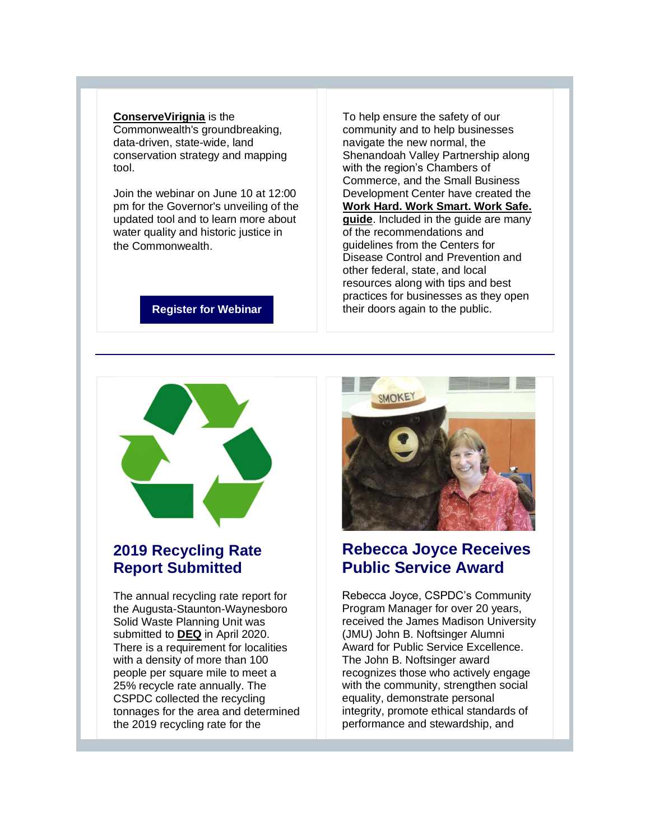#### **[ConserveVirignia](http://r20.rs6.net/tn.jsp?f=001lDyAWde-VzfLDypmVLPgMjEBf4ymSTGjmyvTEGeyg9Fd1z8D1oMhTVoW_HdkF-NVIc0K_iMUhHxVZfWEJebnGGIf-iijZ4ZROyfGYEnGwWha7SwtAena26oafhNvy0TX3NLlnMh7xdWFyHeLIWpnpE-YJcGJ-1reYQfmIAteY9LS07vmTd17CCcQyLXVcS31wM8BmTknyRiNzwes8yBsfr3XmVkdP2n9&c=DEHpGaCpEOTkHN4pSPFLsPHFhj6ZUJ3VXj7BV3butOksM2UEVAas4g==&ch=8Po7xAUImBnLMhLRWKnebdz_zSzAM6GYsvDtcvx8Cbj2JiEjqOea7g==)** is the Commonwealth's groundbreaking, data-driven, state-wide, land conservation strategy and mapping tool.

Join the webinar on June 10 at 12:00 pm for the Governor's unveiling of the updated tool and to learn more about water quality and historic justice in the Commonwealth.

To help ensure the safety of our community and to help businesses navigate the new normal, the Shenandoah Valley Partnership along with the region's Chambers of Commerce, and the Small Business Development Center have created the **[Work Hard. Work Smart. Work Safe.](http://r20.rs6.net/tn.jsp?f=001lDyAWde-VzfLDypmVLPgMjEBf4ymSTGjmyvTEGeyg9Fd1z8D1oMhTVoW_HdkF-NVihZ8FUKuZg0EcDXKg5eEttnbtJDzqVvnKzrAd6_NvJ7JPQVsIooMNV6mFJRUeLvNqLxL3UcVjQlHKiYCmtIYFE3-0X_dAoQL23q6ryvN2mjtPwDkpcjw2YUZvsEbmdt6W2meF4hCVzJXTtx0NeyMXjGIshwkZyA0QC3RXTVL3Ik=&c=DEHpGaCpEOTkHN4pSPFLsPHFhj6ZUJ3VXj7BV3butOksM2UEVAas4g==&ch=8Po7xAUImBnLMhLRWKnebdz_zSzAM6GYsvDtcvx8Cbj2JiEjqOea7g==)  [guide](http://r20.rs6.net/tn.jsp?f=001lDyAWde-VzfLDypmVLPgMjEBf4ymSTGjmyvTEGeyg9Fd1z8D1oMhTVoW_HdkF-NVihZ8FUKuZg0EcDXKg5eEttnbtJDzqVvnKzrAd6_NvJ7JPQVsIooMNV6mFJRUeLvNqLxL3UcVjQlHKiYCmtIYFE3-0X_dAoQL23q6ryvN2mjtPwDkpcjw2YUZvsEbmdt6W2meF4hCVzJXTtx0NeyMXjGIshwkZyA0QC3RXTVL3Ik=&c=DEHpGaCpEOTkHN4pSPFLsPHFhj6ZUJ3VXj7BV3butOksM2UEVAas4g==&ch=8Po7xAUImBnLMhLRWKnebdz_zSzAM6GYsvDtcvx8Cbj2JiEjqOea7g==)**. Included in the guide are many of the recommendations and guidelines from the Centers for Disease Control and Prevention and other federal, state, and local resources along with tips and best practices for businesses as they open their doors again to the public.

#### **[Register for Webinar](http://r20.rs6.net/tn.jsp?f=001lDyAWde-VzfLDypmVLPgMjEBf4ymSTGjmyvTEGeyg9Fd1z8D1oMhTVoW_HdkF-NVCEH9GO3bTQquu-HSm4bIDHspPw2O2HfpbyRPS8sq3C8j4Y3pJMmYfy963iZA00g82lHudEgRb5q0xW_DHakWd9OGseKcr2mQ23cecrW6PkQDx6ZZFr2jxLoNmxdiHr4x8fORAilQRknqDilvW_FsWgg8g6Zdya9HHTBGhby4c_sYBYJArGEvfXS1BOSp7HFhV2TP-t1R3DIwcGwVMD7QYvypyzGNK_IGeUG_2_ztcx1puzcs4IHs2Bm7mrP7seIR7l5Oalfwz2BFxSpKdE5zTtU_IJTViYr_PeLpnfGjrCnNrZXgEevMcAR9ZAw4inPy7rLxvR6Y6c5Nsmq7l_KO9S4VWnjz3vNvu3cB9TzUFHz6IlxNPtpdkNieIu9iaHwuJzqNSan0ZevnA06ohlBHKOMt_aChE9swx8vZ2THH4TS2ueeY8nCe3EideBbuY95q3mQQM3eyQS6cFlhKfY3IE-TxDEkUPU_abV_LTDV0Kh71xQuYNNaWmyZDvLSPokvt4hWEUlkwMBHmtEdOQxxy_zR5jTEdtKMMJeW7snnqihYuyWBaF9V7ihz2-j50OvWsyxo6gNZ_gRrAgjOwaTIfq-IDePEVnwLczoL1jPIJ31jMM2-5uE1Lhf6odi32p7nMcokQlXVAD1A4skuxK_3DvGvCFLQRlUOrdK6uuchXJKEDc63sW2Lfxo0_7bH5AioYftRg_3aQU1ilUqPjrRorBIES1z6lUoPR&c=DEHpGaCpEOTkHN4pSPFLsPHFhj6ZUJ3VXj7BV3butOksM2UEVAas4g==&ch=8Po7xAUImBnLMhLRWKnebdz_zSzAM6GYsvDtcvx8Cbj2JiEjqOea7g==)**



## **2019 Recycling Rate Report Submitted**

The annual recycling rate report for the Augusta-Staunton-Waynesboro Solid Waste Planning Unit was submitted to **[DEQ](http://r20.rs6.net/tn.jsp?f=001lDyAWde-VzfLDypmVLPgMjEBf4ymSTGjmyvTEGeyg9Fd1z8D1oMhTVoW_HdkF-NVpNviKVQr0LBexvyztyM3iZu8qeltVRfqhjm-F0xmfV6UyLBUVhU-bciq10oUIFMfI0177KKEpiBdwnKD-CAEVA==&c=DEHpGaCpEOTkHN4pSPFLsPHFhj6ZUJ3VXj7BV3butOksM2UEVAas4g==&ch=8Po7xAUImBnLMhLRWKnebdz_zSzAM6GYsvDtcvx8Cbj2JiEjqOea7g==)** in April 2020. There is a requirement for localities with a density of more than 100 people per square mile to meet a 25% recycle rate annually. The CSPDC collected the recycling tonnages for the area and determined the 2019 recycling rate for the



## **Rebecca Joyce Receives Public Service Award**

Rebecca Joyce, CSPDC's Community Program Manager for over 20 years, received the James Madison University (JMU) John B. Noftsinger Alumni Award for Public Service Excellence. The John B. Noftsinger award recognizes those who actively engage with the community, strengthen social equality, demonstrate personal integrity, promote ethical standards of performance and stewardship, and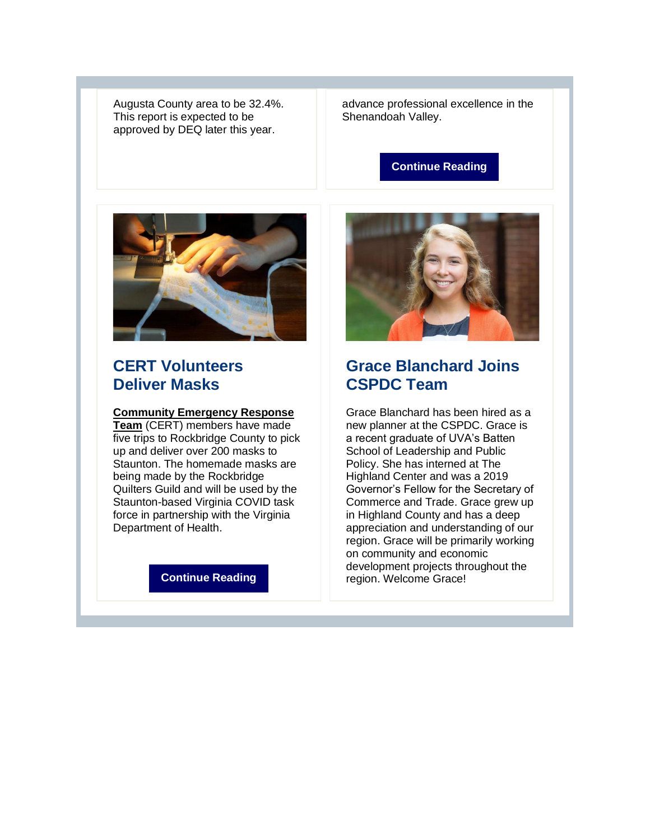Augusta County area to be 32.4%. This report is expected to be approved by DEQ later this year.

advance professional excellence in the Shenandoah Valley.

#### **[Continue Reading](http://r20.rs6.net/tn.jsp?f=001lDyAWde-VzfLDypmVLPgMjEBf4ymSTGjmyvTEGeyg9Fd1z8D1oMhTVoW_HdkF-NVgtv20h_TVVZwGAj2JSOtu91EUylvY1K79SkiXlnltpTijejc0mfxQKAbpAFA3aZVzDUUyYYFQa1foPpcZpRU6CqcmudYRhfwACCf2z15WCH4u0dFQszt5CGn3rD6L0mnOHF1QA7WS9OeD65xwHU1XJLRIQiSCSUV4mINK6ziPjbgb_JcUeaTCw==&c=DEHpGaCpEOTkHN4pSPFLsPHFhj6ZUJ3VXj7BV3butOksM2UEVAas4g==&ch=8Po7xAUImBnLMhLRWKnebdz_zSzAM6GYsvDtcvx8Cbj2JiEjqOea7g==)**



### **CERT Volunteers Deliver Masks**

#### **[Community Emergency Response](http://r20.rs6.net/tn.jsp?f=001lDyAWde-VzfLDypmVLPgMjEBf4ymSTGjmyvTEGeyg9Fd1z8D1oMhTVoW_HdkF-NVVbOQZzUfodAK-l38h_N60NYGMdnu7WArdWNAMjHkxgJn-OlMkS1JgiTz_Gn0myLj7cDZ6z-ufAUFo0xdX692Yw==&c=DEHpGaCpEOTkHN4pSPFLsPHFhj6ZUJ3VXj7BV3butOksM2UEVAas4g==&ch=8Po7xAUImBnLMhLRWKnebdz_zSzAM6GYsvDtcvx8Cbj2JiEjqOea7g==)**

**[Team](http://r20.rs6.net/tn.jsp?f=001lDyAWde-VzfLDypmVLPgMjEBf4ymSTGjmyvTEGeyg9Fd1z8D1oMhTVoW_HdkF-NVVbOQZzUfodAK-l38h_N60NYGMdnu7WArdWNAMjHkxgJn-OlMkS1JgiTz_Gn0myLj7cDZ6z-ufAUFo0xdX692Yw==&c=DEHpGaCpEOTkHN4pSPFLsPHFhj6ZUJ3VXj7BV3butOksM2UEVAas4g==&ch=8Po7xAUImBnLMhLRWKnebdz_zSzAM6GYsvDtcvx8Cbj2JiEjqOea7g==)** (CERT) members have made five trips to Rockbridge County to pick up and deliver over 200 masks to Staunton. The homemade masks are being made by the Rockbridge Quilters Guild and will be used by the Staunton-based Virginia COVID task force in partnership with the Virginia Department of Health.

#### **[Continue Reading](http://r20.rs6.net/tn.jsp?f=001lDyAWde-VzfLDypmVLPgMjEBf4ymSTGjmyvTEGeyg9Fd1z8D1oMhTVoW_HdkF-NVGwilOKtfnY4HAIf06XSv9SlZzqKd656mjV59rr2ps5yzMDoyO01-EEhSUbLrsLNyOiOsOg8ZvNbB0PZsogdfySYffRC8HDxRWEOvefesu4exn2x0MhJJIBOkQHe-UusaN8dBYeNBFLSKo75eh92F5g==&c=DEHpGaCpEOTkHN4pSPFLsPHFhj6ZUJ3VXj7BV3butOksM2UEVAas4g==&ch=8Po7xAUImBnLMhLRWKnebdz_zSzAM6GYsvDtcvx8Cbj2JiEjqOea7g==)**



## **Grace Blanchard Joins CSPDC Team**

Grace Blanchard has been hired as a new planner at the CSPDC. Grace is a recent graduate of UVA's Batten School of Leadership and Public Policy. She has interned at The Highland Center and was a 2019 Governor's Fellow for the Secretary of Commerce and Trade. Grace grew up in Highland County and has a deep appreciation and understanding of our region. Grace will be primarily working on community and economic development projects throughout the region. Welcome Grace!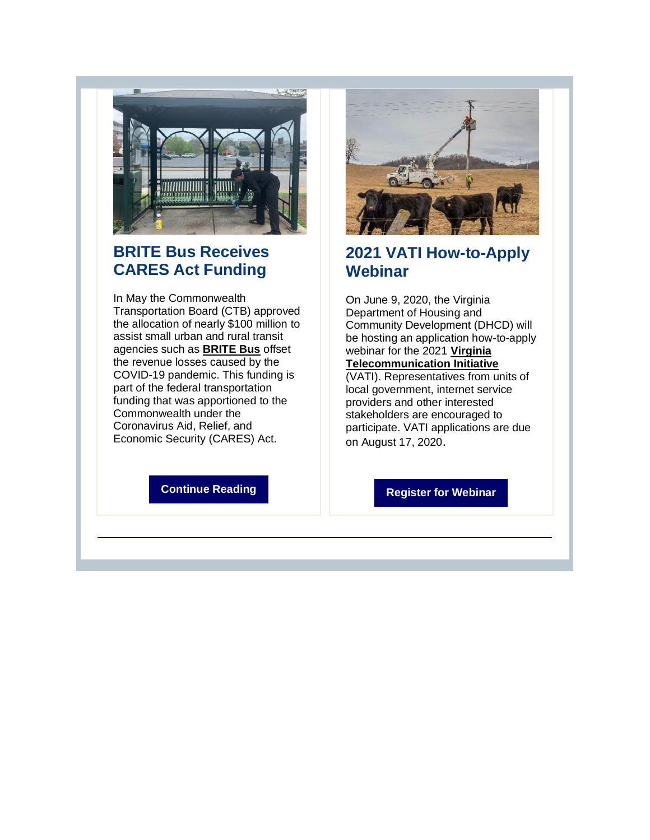

## **BRITE Bus Receives CARES Act Funding**

In May the Commonwealth Transportation Board (CTB) approved the allocation of nearly \$100 million to assist small urban and rural transit agencies such as **[BRITE Bus](http://r20.rs6.net/tn.jsp?f=001lDyAWde-VzfLDypmVLPgMjEBf4ymSTGjmyvTEGeyg9Fd1z8D1oMhTabemOQ965k-GCgZRH_mHWcpRh_2DmxRzaPcdrzrxL7qJ452JPb5KRwEKPXiPvnpUrd3wGtF5_mQdoNGf3wDQgHw_wpmj7o6Ag==&c=DEHpGaCpEOTkHN4pSPFLsPHFhj6ZUJ3VXj7BV3butOksM2UEVAas4g==&ch=8Po7xAUImBnLMhLRWKnebdz_zSzAM6GYsvDtcvx8Cbj2JiEjqOea7g==)** offset the revenue losses caused by the COVID-19 pandemic. This funding is part of the federal transportation funding that was apportioned to the Commonwealth under the Coronavirus Aid, Relief, and Economic Security (CARES) Act.

**[Continue Reading](http://r20.rs6.net/tn.jsp?f=001lDyAWde-VzfLDypmVLPgMjEBf4ymSTGjmyvTEGeyg9Fd1z8D1oMhTVoW_HdkF-NVE8mWDfhxAxcfWxM07m0wBljchKcJh4FeVpCU8dilwY01snAW_odJudF9swsjrvQuDSghnn_P1zM9XBWlUqQ1iS17Gkih5vH76rmm5ar3zjolppwdSOmp8wezypPcyb5ym3GFJUt_SyA0PAMkoSle0Q==&c=DEHpGaCpEOTkHN4pSPFLsPHFhj6ZUJ3VXj7BV3butOksM2UEVAas4g==&ch=8Po7xAUImBnLMhLRWKnebdz_zSzAM6GYsvDtcvx8Cbj2JiEjqOea7g==)**



## **2021 VATI How-to-Apply Webinar**

On June 9, 2020, the Virginia Department of Housing and Community Development (DHCD) will be hosting an application how-to-apply webinar for the 2021 **[Virginia](http://r20.rs6.net/tn.jsp?f=001lDyAWde-VzfLDypmVLPgMjEBf4ymSTGjmyvTEGeyg9Fd1z8D1oMhTSSU0wKMdsSNNmFiM_ZH4Ryr-7936yS_QE70H9k0WE5uiiwcTB1UYEVlfBce3lkflbGkzQ-SPkppatLKJngUSyXfq9glRXKojd0XEJDFfx_ycwX5zOYmBVQ=&c=DEHpGaCpEOTkHN4pSPFLsPHFhj6ZUJ3VXj7BV3butOksM2UEVAas4g==&ch=8Po7xAUImBnLMhLRWKnebdz_zSzAM6GYsvDtcvx8Cbj2JiEjqOea7g==)  [Telecommunication Initiative](http://r20.rs6.net/tn.jsp?f=001lDyAWde-VzfLDypmVLPgMjEBf4ymSTGjmyvTEGeyg9Fd1z8D1oMhTSSU0wKMdsSNNmFiM_ZH4Ryr-7936yS_QE70H9k0WE5uiiwcTB1UYEVlfBce3lkflbGkzQ-SPkppatLKJngUSyXfq9glRXKojd0XEJDFfx_ycwX5zOYmBVQ=&c=DEHpGaCpEOTkHN4pSPFLsPHFhj6ZUJ3VXj7BV3butOksM2UEVAas4g==&ch=8Po7xAUImBnLMhLRWKnebdz_zSzAM6GYsvDtcvx8Cbj2JiEjqOea7g==)**  (VATI). Representatives from units of

local government, internet service providers and other interested stakeholders are encouraged to participate. VATI applications are due on August 17, 2020.

**[Register for Webinar](http://r20.rs6.net/tn.jsp?f=001lDyAWde-VzfLDypmVLPgMjEBf4ymSTGjmyvTEGeyg9Fd1z8D1oMhTVoW_HdkF-NVsKOEMo7mjW-SjyONk0L-FmbbJFA5RYvZrACzY8HLO7m33Jy8lkJAZAX7vTvtFxjg-aFO1p_lbasgF637C6cp7pzWHWpWrJhdPAPu929yIylwYk4tCQlRDnJP9VB1mKcuq0G0AoChJEofF0O3Yh4Wsw==&c=DEHpGaCpEOTkHN4pSPFLsPHFhj6ZUJ3VXj7BV3butOksM2UEVAas4g==&ch=8Po7xAUImBnLMhLRWKnebdz_zSzAM6GYsvDtcvx8Cbj2JiEjqOea7g==)**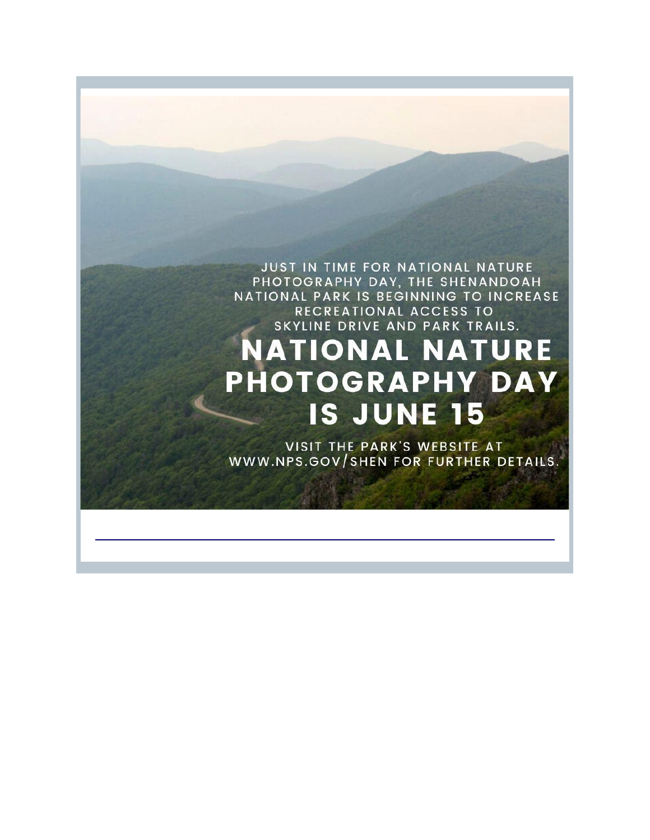## JUST IN TIME FOR NATIONAL NATURE PHOTOGRAPHY DAY, THE SHENANDOAH NATIONAL PARK IS BEGINNING TO INCREASE RECREATIONAL ACCESS TO SKYLINE DRIVE AND PARK TRAILS. **NATIONAL NATURE PHOTOGRAPHY DAY** IS JUNE 15

VISIT THE PARK'S WEBSITE AT WWW.NPS.GOV/SHEN FOR FURTHER DETAILS.